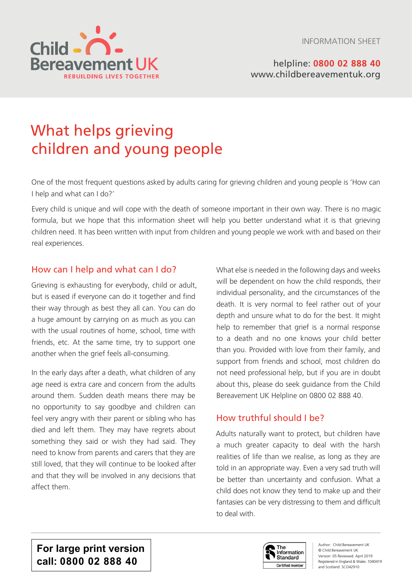INFORMATION SHEET



helpline: **0800 02 888 40** [www.childbereavementuk.org](http://www.childbereavementuk.org)

# What helps grieving children and young people

One of the most frequent questions asked by adults caring for grieving children and young people is 'How can I help and what can I do?'

Every child is unique and will cope with the death of someone important in their own way. There is no magic formula, but we hope that this information sheet will help you better understand what it is that grieving children need. It has been written with input from children and young people we work with and based on their real experiences.

## How can I help and what can I do?

Grieving is exhausting for everybody, child or adult, but is eased if everyone can do it together and find their way through as best they all can. You can do a huge amount by carrying on as much as you can with the usual routines of home, school, time with friends, etc. At the same time, try to support one another when the grief feels all-consuming.

In the early days after a death, what children of any age need is extra care and concern from the adults around them. Sudden death means there may be no opportunity to say goodbye and children can feel very angry with their parent or sibling who has died and left them. They may have regrets about something they said or wish they had said. They need to know from parents and carers that they are still loved, that they will continue to be looked after and that they will be involved in any decisions that affect them.

What else is needed in the following days and weeks will be dependent on how the child responds, their individual personality, and the circumstances of the death. It is very normal to feel rather out of your depth and unsure what to do for the best. It might help to remember that grief is a normal response to a death and no one knows your child better than you. Provided with love from their family, and support from friends and school, most children do not need professional help, but if you are in doubt about this, please do seek guidance from the Child Bereavement UK Helpline on 0800 02 888 40.

## How truthful should I be?

Adults naturally want to protect, but children have a much greater capacity to deal with the harsh realities of life than we realise, as long as they are told in an appropriate way. Even a very sad truth will be better than uncertainty and confusion. What a child does not know they tend to make up and their fantasies can be very distressing to them and difficult to deal with.

**For large print version call: 0800 02 888 40**



Author: Child Bereavement UK © Child Bereavement UK Version: 05 Reviewed: April 2019 Registered in England & Wales: 1040419 and Scotland: SCO42910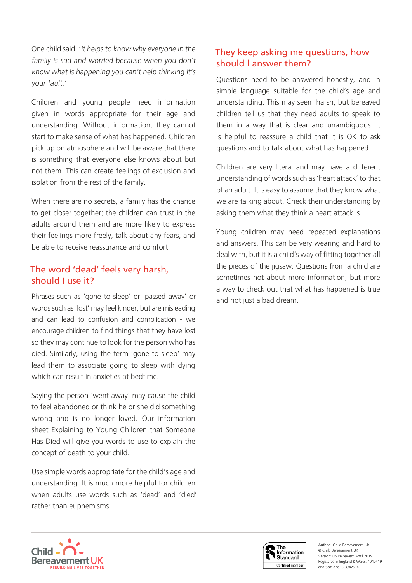One child said, 'It helps to know why everyone in the family is sad and worried because when you don't know what is happening you can't help thinking it's your fault.'

Children and young people need information given in words appropriate for their age and understanding. Without information, they cannot start to make sense of what has happened. Children pick up on atmosphere and will be aware that there is something that everyone else knows about but not them. This can create feelings of exclusion and isolation from the rest of the family.

When there are no secrets, a family has the chance to get closer together; the children can trust in the adults around them and are more likely to express their feelings more freely, talk about any fears, and be able to receive reassurance and comfort.

## The word 'dead' feels very harsh, should I use it?

Phrases such as 'gone to sleep' or 'passed away' or words such as 'lost' may feel kinder, but are misleading and can lead to confusion and complication - we encourage children to find things that they have lost so they may continue to look for the person who has died. Similarly, using the term 'gone to sleep' may lead them to associate going to sleep with dying which can result in anxieties at bedtime.

Saying the person 'went away' may cause the child to feel abandoned or think he or she did something wrong and is no longer loved. Our information sheet Explaining to Young Children that Someone Has Died will give you words to use to explain the concept of death to your child.

Use simple words appropriate for the child's age and understanding. It is much more helpful for children when adults use words such as 'dead' and 'died' rather than euphemisms.

## They keep asking me questions, how should l answer them?

Questions need to be answered honestly, and in simple language suitable for the child's age and understanding. This may seem harsh, but bereaved children tell us that they need adults to speak to them in a way that is clear and unambiguous. It is helpful to reassure a child that it is OK to ask questions and to talk about what has happened.

Children are very literal and may have a different understanding of words such as 'heart attack' to that of an adult. It is easy to assume that they know what we are talking about. Check their understanding by asking them what they think a heart attack is.

Young children may need repeated explanations and answers. This can be very wearing and hard to deal with, but it is a child's way of fitting together all the pieces of the jigsaw. Questions from a child are sometimes not about more information, but more a way to check out that what has happened is true and not just a bad dream.



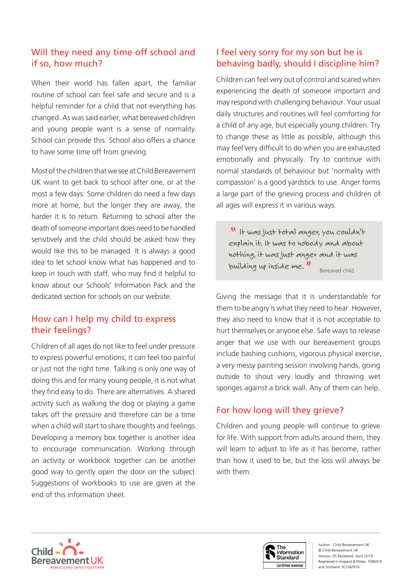## Will they need any time off school and if so, how much?

When their world has fallen apart, the familiar routine of school can feel safe and secure and is a helpful reminder for a child that not everything has changed. As was said earlier, what bereaved children and young people want is a sense of normality. School can provide this. School also offers a chance to have some time off from grieving.

Most of the children that we see at Child Bereavement UK want to get back to school after one, or at the most a few days. Some children do need a few days more at home, but the longer they are away, the harder it is to return. Returning to school after the death of someone important does need to be handled sensitively and the child should be asked how they would like this to be managed. It is always a good idea to let school know what has happened and to keep in touch with staff, who may find it helpful to know about our Schools' Information Pack and the dedicated section for schools on our website.

# How can I help my child to express their feelings?

Children of all ages do not like to feel under pressure to express powerful emotions; it can feel too painful or just not the right time. Talking is only one way of doing this and for many young people, it is not what they find easy to do. There are alternatives. A shared activity such as walking the dog or playing a game takes off the pressure and therefore can be a time when a child will start to share thoughts and feelings. Developing a memory box together is another idea to encourage communication. Working through an activity or workbook together can be another good way to gently open the door on the subject. Suggestions of workbooks to use are given at the end of this information sheet.

## I feel very sorry for my son but he is behaving badly, should I discipline him?

Children can feel very out of control and scared when experiencing the death of someone important and may respond with challenging behaviour. Your usual daily structures and routines will feel comforting for a child of any age, but especially young children. Try to change these as little as possible, although this may feel very difficult to do when you are exhausted emotionally and physically. Try to continue with normal standards of behaviour but 'normality with compassion' is a good yardstick to use. Anger forms a large part of the grieving process and children of all ages will express it in various ways.

" It was just total anger, you couldn't explain it. It was to nobody and about nothing, it was just anger and it was building up inside me.  $\frac{1}{2}$  Bereaved child

Giving the message that it is understandable for them to be angry is what they need to hear. However, they also need to know that it is not acceptable to hurt themselves or anyone else. Safe ways to release anger that we use with our bereavement groups include bashing cushions, vigorous physical exercise, a very messy painting session involving hands, going outside to shout very loudly and throwing wet sponges against a brick wall. Any of them can help.

# For how long will they grieve?

Children and young people will continue to grieve for life. With support from adults around them, they will learn to adjust to life as it has become, rather than how it used to be, but the loss will always be with them.



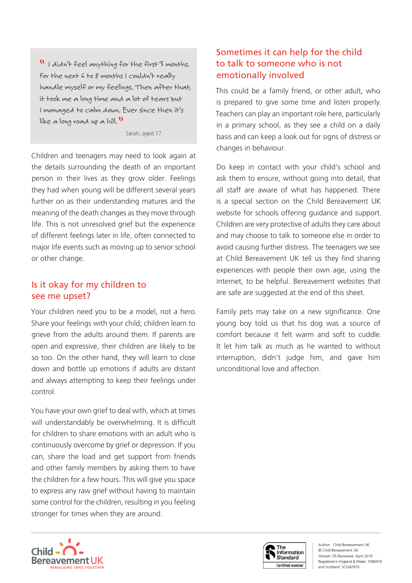" I didn't feel anything for the first 3 months. For the next 6 to 8 months I couldn't really handle myself or my feelings. Then after that, it took me a long time and a lot of tears but I managed to calm down. Ever since then it's like a long road up a hill.

Sarah, aged 17

Children and teenagers may need to look again at the details surrounding the death of an important person in their lives as they grow older. Feelings they had when young will be different several years further on as their understanding matures and the meaning of the death changes as they move through life. This is not unresolved grief but the experience of different feelings later in life, often connected to major life events such as moving up to senior school or other change.

## Is it okay for my children to see me upset?

Your children need you to be a model, not a hero. Share your feelings with your child; children learn to grieve from the adults around them. If parents are open and expressive, their children are likely to be so too. On the other hand, they will learn to close down and bottle up emotions if adults are distant and always attempting to keep their feelings under control.

You have your own grief to deal with, which at times will understandably be overwhelming. It is difficult for children to share emotions with an adult who is continuously overcome by grief or depression. If you can, share the load and get support from friends and other family members by asking them to have the children for a few hours. This will give you space to express any raw grief without having to maintain some control for the children, resulting in you feeling stronger for times when they are around.

## Sometimes it can help for the child to talk to someone who is not emotionally involved

This could be a family friend, or other adult, who is prepared to give some time and listen properly. Teachers can play an important role here, particularly in a primary school, as they see a child on a daily basis and can keep a look out for signs of distress or changes in behaviour.

Do keep in contact with your child's school and ask them to ensure, without going into detail, that all staff are aware of what has happened. There is a special section on the Child Bereavement UK website for schools offering guidance and support. Children are very protective of adults they care about and may choose to talk to someone else in order to avoid causing further distress. The teenagers we see at Child Bereavement UK tell us they find sharing experiences with people their own age, using the internet, to be helpful. Bereavement websites that are safe are suggested at the end of this sheet.

Family pets may take on a new significance. One young boy told us that his dog was a source of comfort because it felt warm and soft to cuddle. It let him talk as much as he wanted to without interruption, didn't judge him, and gave him unconditional love and affection.



Author: Child Bereavement UK © Child Bereavement UK Version: 05 Reviewed: April 2019 Registered in England & Wales: 1040419 and Scotland: SCO42910

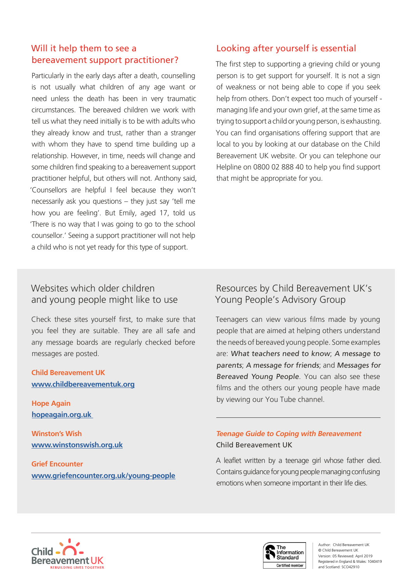## Will it help them to see a bereavement support practitioner?

Particularly in the early days after a death, counselling is not usually what children of any age want or need unless the death has been in very traumatic circumstances. The bereaved children we work with tell us what they need initially is to be with adults who they already know and trust, rather than a stranger with whom they have to spend time building up a relationship. However, in time, needs will change and some children find speaking to a bereavement support practitioner helpful, but others will not. Anthony said, 'Counsellors are helpful I feel because they won't necessarily ask you questions – they just say 'tell me how you are feeling'. But Emily, aged 17, told us 'There is no way that I was going to go to the school counsellor.' Seeing a support practitioner will not help a child who is not yet ready for this type of support.

## Looking after yourself is essential

The first step to supporting a grieving child or young person is to get support for yourself. It is not a sign of weakness or not being able to cope if you seek help from others. Don't expect too much of yourself managing life and your own grief, at the same time as trying to support a child or young person, is exhausting. You can find organisations offering support that are local to you by looking at our database on the Child Bereavement UK website. Or you can telephone our Helpline on 0800 02 888 40 to help you find support that might be appropriate for you.

## Websites which older children and young people might like to use

Check these sites yourself first, to make sure that you feel they are suitable. They are all safe and any message boards are regularly checked before messages are posted.

### **Child Bereavement UK www.childbereavementuk.org**

**Hope Again hopeagain.org.uk** 

**Winston's Wish www.winstonswish.org.uk**

**Grief Encounter www.griefencounter.org.uk/young-people**

# Resources by Child Bereavement UK's Young People's Advisory Group

Teenagers can view various films made by young people that are aimed at helping others understand the needs of bereaved young people. Some examples are: What teachers need to know; A message to parents; A message for friends; and Messages for Bereaved Young People. You can also see these films and the others our young people have made by viewing our You Tube channel.

## **Teenage Guide to Coping with Bereavement** Child Bereavement UK

 $\overline{a}$ 

A leaflet written by a teenage girl whose father died. Contains guidance for young people managing confusing emotions when someone important in their life dies.





Author: Child Bereavement UK © Child Bereavement UK Version: 05 Reviewed: April 2019 Registered in England & Wales: 1040419 and Scotland: SCO42910